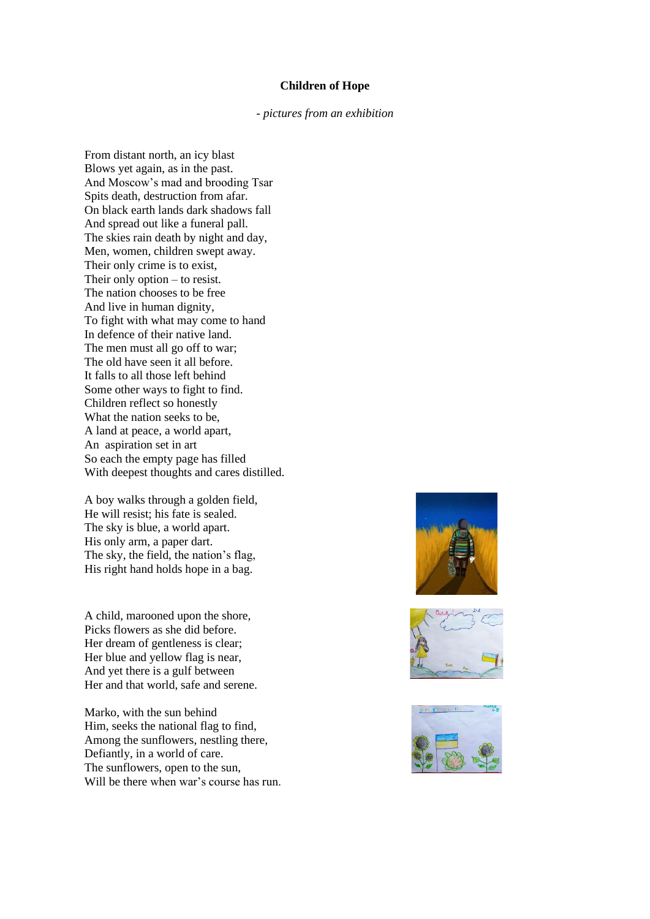## **Children of Hope**

*- pictures from an exhibition*

From distant north, an icy blast Blows yet again, as in the past. And Moscow's mad and brooding Tsar Spits death, destruction from afar. On black earth lands dark shadows fall And spread out like a funeral pall. The skies rain death by night and day, Men, women, children swept away. Their only crime is to exist, Their only option – to resist. The nation chooses to be free And live in human dignity, To fight with what may come to hand In defence of their native land. The men must all go off to war; The old have seen it all before. It falls to all those left behind Some other ways to fight to find. Children reflect so honestly What the nation seeks to be, A land at peace, a world apart, An aspiration set in art So each the empty page has filled With deepest thoughts and cares distilled.

A boy walks through a golden field, He will resist; his fate is sealed. The sky is blue, a world apart. His only arm, a paper dart. The sky, the field, the nation's flag, His right hand holds hope in a bag.

A child, marooned upon the shore, Picks flowers as she did before. Her dream of gentleness is clear; Her blue and yellow flag is near, And yet there is a gulf between Her and that world, safe and serene.

Marko, with the sun behind Him, seeks the national flag to find, Among the sunflowers, nestling there, Defiantly, in a world of care. The sunflowers, open to the sun, Will be there when war's course has run.





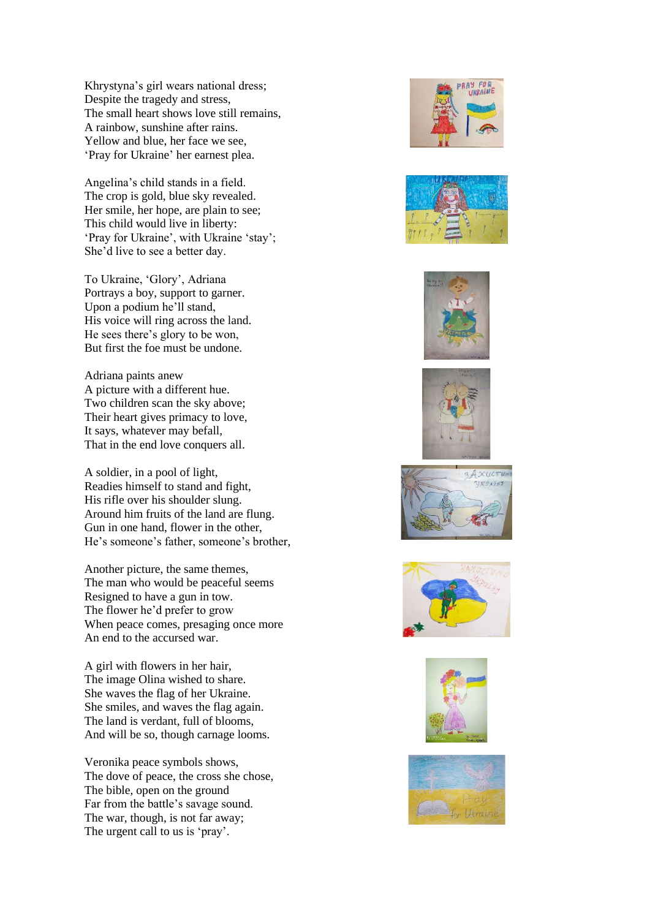Khrystyna's girl wears national dress; Despite the tragedy and stress, The small heart shows love still remains, A rainbow, sunshine after rains. Yellow and blue, her face we see, 'Pray for Ukraine' her earnest plea.

Angelina's child stands in a field. The crop is gold, blue sky revealed. Her smile, her hope, are plain to see; This child would live in liberty: 'Pray for Ukraine', with Ukraine 'stay'; She'd live to see a better day.

To Ukraine, 'Glory', Adriana Portrays a boy, support to garner. Upon a podium he'll stand, His voice will ring across the land. He sees there's glory to be won, But first the foe must be undone.

Adriana paints anew A picture with a different hue. Two children scan the sky above; Their heart gives primacy to love, It says, whatever may befall, That in the end love conquers all.

A soldier, in a pool of light, Readies himself to stand and fight, His rifle over his shoulder slung. Around him fruits of the land are flung. Gun in one hand, flower in the other, He's someone's father, someone's brother,

Another picture, the same themes, The man who would be peaceful seems Resigned to have a gun in tow. The flower he'd prefer to grow When peace comes, presaging once more An end to the accursed war.

A girl with flowers in her hair, The image Olina wished to share. She waves the flag of her Ukraine. She smiles, and waves the flag again. The land is verdant, full of blooms, And will be so, though carnage looms.

Veronika peace symbols shows, The dove of peace, the cross she chose, The bible, open on the ground Far from the battle's savage sound. The war, though, is not far away; The urgent call to us is 'pray'.















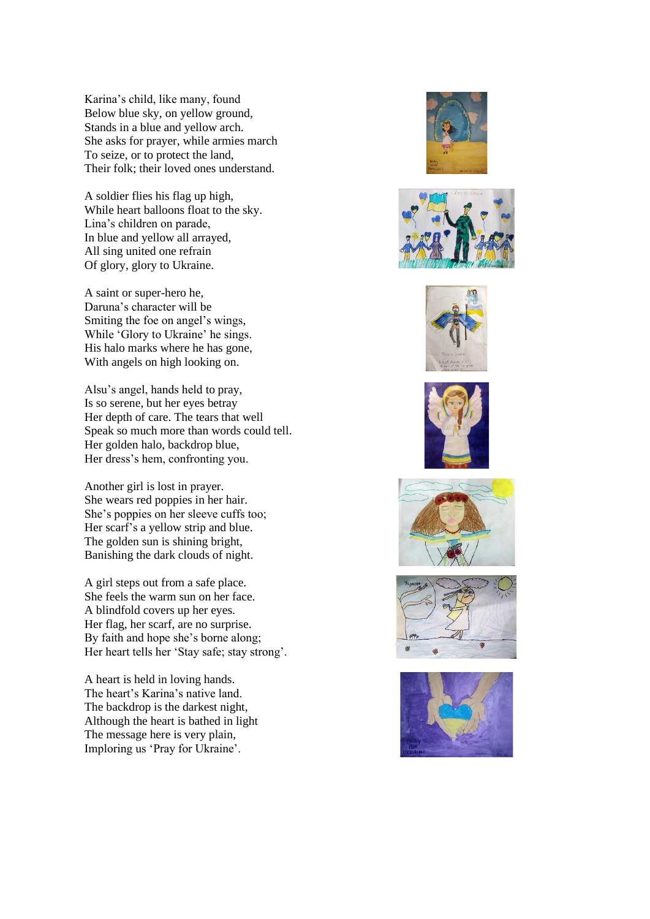Karina's child, like many, found Below blue sky, on yellow ground, Stands in a blue and yellow arch. She asks for prayer, while armies march To seize, or to protect the land, Their folk; their loved ones understand.

A soldier flies his flag up high, While heart balloons float to the sky. Lina's children on parade, In blue and yellow all arrayed, All sing united one refrain Of glory, glory to Ukraine.

A saint or super-hero he, Daruna's character will be Smiting the foe on angel's wings, While 'Glory to Ukraine' he sings. His halo marks where he has gone, With angels on high looking on.

Alsu's angel, hands held to pray, Is so serene, but her eyes betray Her depth of care. The tears that well Speak so much more than words could tell. Her golden halo, backdrop blue, Her dress's hem, confronting you.

Another girl is lost in prayer. She wears red poppies in her hair. She's poppies on her sleeve cuffs too; Her scarf's a yellow strip and blue. The golden sun is shining bright, Banishing the dark clouds of night.

A girl steps out from a safe place. She feels the warm sun on her face. A blindfold covers up her eyes. Her flag, her scarf, are no surprise. By faith and hope she's borne along; Her heart tells her 'Stay safe; stay strong'.

A heart is held in loving hands. The heart's Karina's native land. The backdrop is the darkest night, Although the heart is bathed in light The message here is very plain, Imploring us 'Pray for Ukraine'.













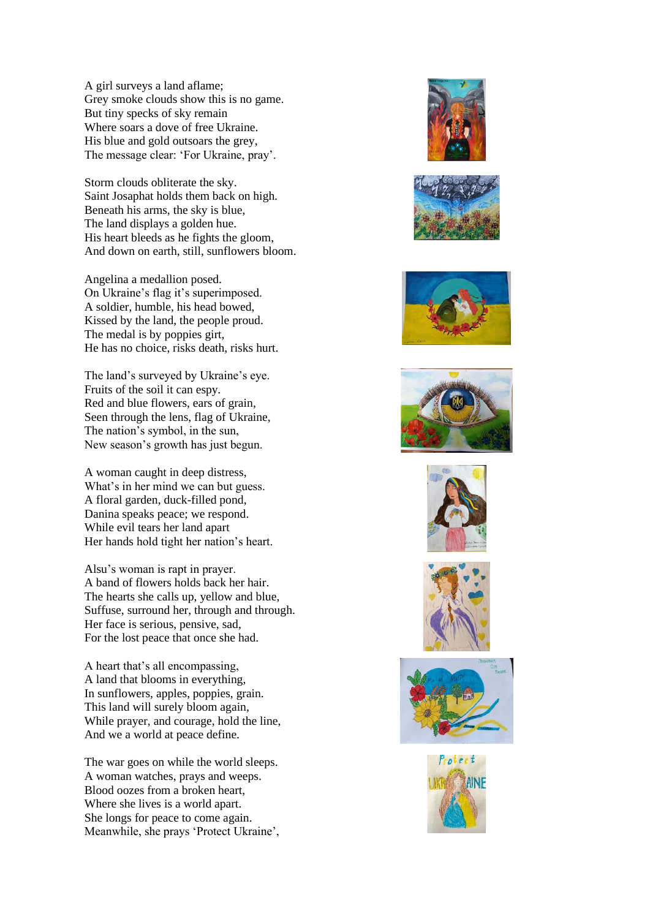A girl surveys a land aflame; Grey smoke clouds show this is no game. But tiny specks of sky remain Where soars a dove of free Ukraine. His blue and gold outsoars the grey, The message clear: 'For Ukraine, pray'.

Storm clouds obliterate the sky. Saint Josaphat holds them back on high. Beneath his arms, the sky is blue, The land displays a golden hue. His heart bleeds as he fights the gloom, And down on earth, still, sunflowers bloom.

Angelina a medallion posed. On Ukraine's flag it's superimposed. A soldier, humble, his head bowed, Kissed by the land, the people proud. The medal is by poppies girt, He has no choice, risks death, risks hurt.

The land's surveyed by Ukraine's eye. Fruits of the soil it can espy. Red and blue flowers, ears of grain, Seen through the lens, flag of Ukraine, The nation's symbol, in the sun, New season's growth has just begun.

A woman caught in deep distress, What's in her mind we can but guess. A floral garden, duck-filled pond, Danina speaks peace; we respond. While evil tears her land apart Her hands hold tight her nation's heart.

Alsu's woman is rapt in prayer. A band of flowers holds back her hair. The hearts she calls up, yellow and blue, Suffuse, surround her, through and through. Her face is serious, pensive, sad, For the lost peace that once she had.

A heart that's all encompassing, A land that blooms in everything, In sunflowers, apples, poppies, grain. This land will surely bloom again, While prayer, and courage, hold the line, And we a world at peace define.

The war goes on while the world sleeps. A woman watches, prays and weeps. Blood oozes from a broken heart, Where she lives is a world apart. She longs for peace to come again. Meanwhile, she prays 'Protect Ukraine',